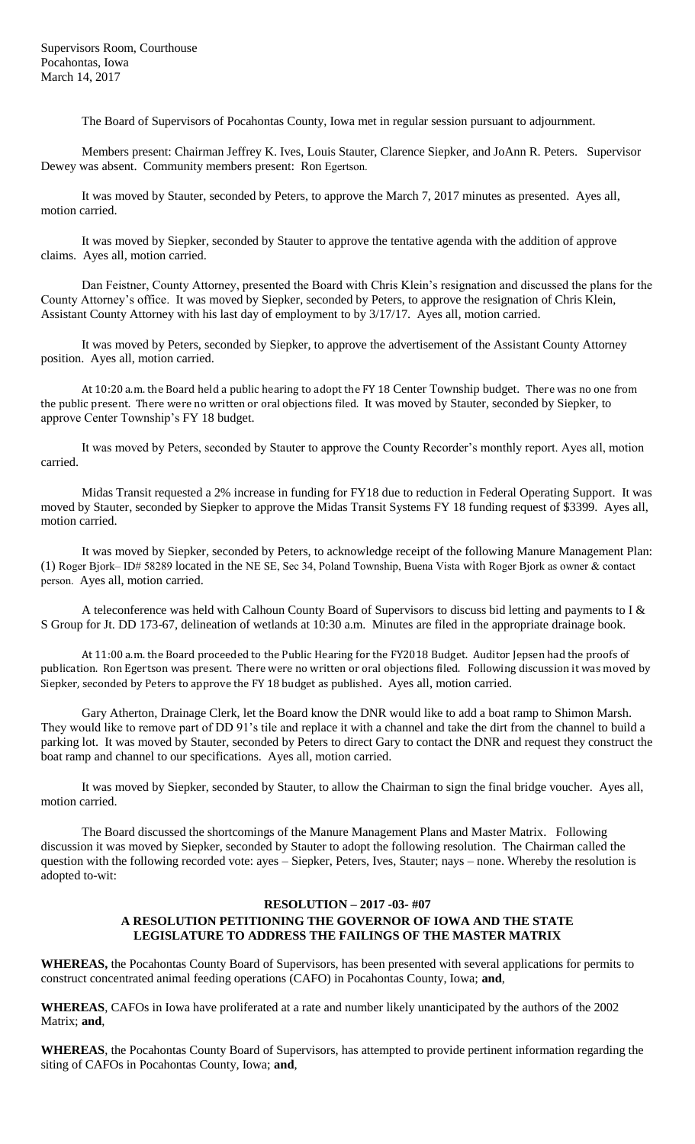Supervisors Room, Courthouse Pocahontas, Iowa March 14, 2017

The Board of Supervisors of Pocahontas County, Iowa met in regular session pursuant to adjournment.

Members present: Chairman Jeffrey K. Ives, Louis Stauter, Clarence Siepker, and JoAnn R. Peters. Supervisor Dewey was absent. Community members present: Ron Egertson.

It was moved by Stauter, seconded by Peters, to approve the March 7, 2017 minutes as presented. Ayes all, motion carried.

It was moved by Siepker, seconded by Stauter to approve the tentative agenda with the addition of approve claims. Ayes all, motion carried.

Dan Feistner, County Attorney, presented the Board with Chris Klein's resignation and discussed the plans for the County Attorney's office. It was moved by Siepker, seconded by Peters, to approve the resignation of Chris Klein, Assistant County Attorney with his last day of employment to by 3/17/17. Ayes all, motion carried.

It was moved by Peters, seconded by Siepker, to approve the advertisement of the Assistant County Attorney position. Ayes all, motion carried.

At 10:20 a.m. the Board held a public hearing to adopt the FY 18 Center Township budget. There was no one from the public present. There were no written or oral objections filed. It was moved by Stauter, seconded by Siepker, to approve Center Township's FY 18 budget.

It was moved by Peters, seconded by Stauter to approve the County Recorder's monthly report. Ayes all, motion carried.

Midas Transit requested a 2% increase in funding for FY18 due to reduction in Federal Operating Support. It was moved by Stauter, seconded by Siepker to approve the Midas Transit Systems FY 18 funding request of \$3399. Ayes all, motion carried.

It was moved by Siepker, seconded by Peters, to acknowledge receipt of the following Manure Management Plan: (1) Roger Bjork– ID# 58289 located in the NE SE, Sec 34, Poland Township, Buena Vista with Roger Bjork as owner & contact person. Ayes all, motion carried.

A teleconference was held with Calhoun County Board of Supervisors to discuss bid letting and payments to I & S Group for Jt. DD 173-67, delineation of wetlands at 10:30 a.m. Minutes are filed in the appropriate drainage book.

At 11:00 a.m. the Board proceeded to the Public Hearing for the FY2018 Budget. Auditor Jepsen had the proofs of publication. Ron Egertson was present. There were no written or oral objections filed. Following discussion it was moved by Siepker, seconded by Peters to approve the FY 18 budget as published. Ayes all, motion carried.

Gary Atherton, Drainage Clerk, let the Board know the DNR would like to add a boat ramp to Shimon Marsh. They would like to remove part of DD 91's tile and replace it with a channel and take the dirt from the channel to build a parking lot. It was moved by Stauter, seconded by Peters to direct Gary to contact the DNR and request they construct the boat ramp and channel to our specifications. Ayes all, motion carried.

It was moved by Siepker, seconded by Stauter, to allow the Chairman to sign the final bridge voucher. Ayes all, motion carried.

The Board discussed the shortcomings of the Manure Management Plans and Master Matrix. Following discussion it was moved by Siepker, seconded by Stauter to adopt the following resolution. The Chairman called the question with the following recorded vote: ayes – Siepker, Peters, Ives, Stauter; nays – none. Whereby the resolution is adopted to-wit:

## **RESOLUTION – 2017 -03- #07 A RESOLUTION PETITIONING THE GOVERNOR OF IOWA AND THE STATE LEGISLATURE TO ADDRESS THE FAILINGS OF THE MASTER MATRIX**

**WHEREAS,** the Pocahontas County Board of Supervisors, has been presented with several applications for permits to construct concentrated animal feeding operations (CAFO) in Pocahontas County, Iowa; **and**,

**WHEREAS**, CAFOs in Iowa have proliferated at a rate and number likely unanticipated by the authors of the 2002 Matrix; **and**,

**WHEREAS**, the Pocahontas County Board of Supervisors, has attempted to provide pertinent information regarding the siting of CAFOs in Pocahontas County, Iowa; **and**,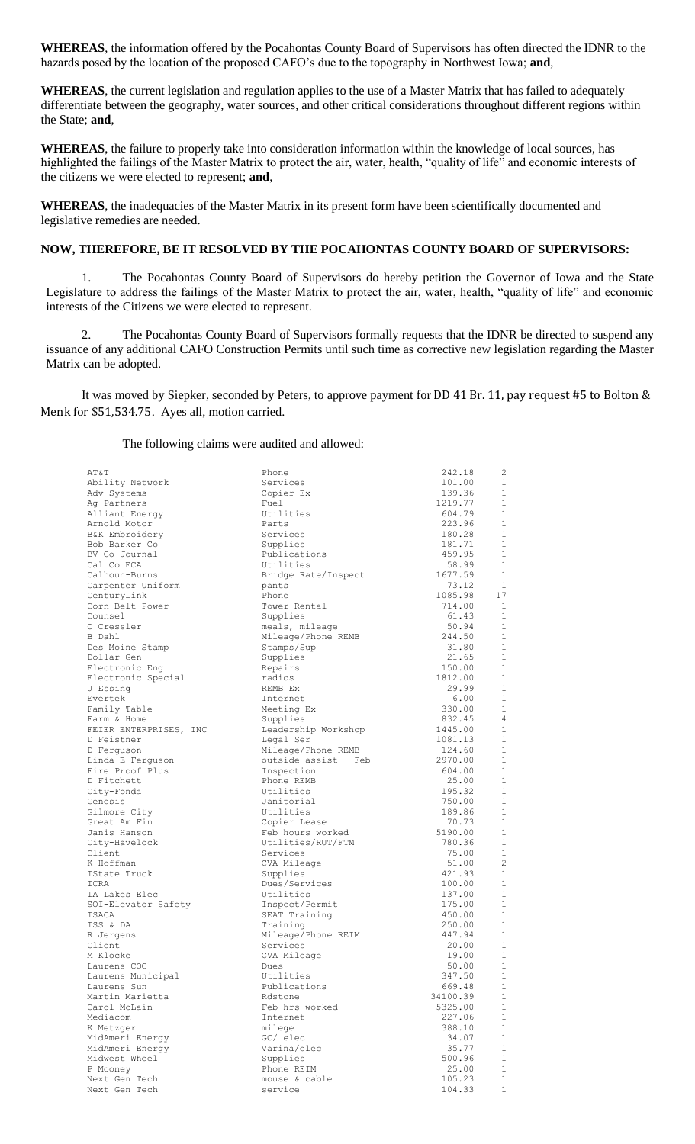**WHEREAS**, the information offered by the Pocahontas County Board of Supervisors has often directed the IDNR to the hazards posed by the location of the proposed CAFO's due to the topography in Northwest Iowa; **and**,

**WHEREAS**, the current legislation and regulation applies to the use of a Master Matrix that has failed to adequately differentiate between the geography, water sources, and other critical considerations throughout different regions within the State; **and**,

**WHEREAS**, the failure to properly take into consideration information within the knowledge of local sources, has highlighted the failings of the Master Matrix to protect the air, water, health, "quality of life" and economic interests of the citizens we were elected to represent; **and**,

**WHEREAS**, the inadequacies of the Master Matrix in its present form have been scientifically documented and legislative remedies are needed.

## **NOW, THEREFORE, BE IT RESOLVED BY THE POCAHONTAS COUNTY BOARD OF SUPERVISORS:**

1. The Pocahontas County Board of Supervisors do hereby petition the Governor of Iowa and the State Legislature to address the failings of the Master Matrix to protect the air, water, health, "quality of life" and economic interests of the Citizens we were elected to represent.

2. The Pocahontas County Board of Supervisors formally requests that the IDNR be directed to suspend any issuance of any additional CAFO Construction Permits until such time as corrective new legislation regarding the Master Matrix can be adopted.

It was moved by Siepker, seconded by Peters, to approve payment for DD 41 Br. 11, pay request #5 to Bolton & Menk for \$51,534.75. Ayes all, motion carried.

The following claims were audited and allowed:

| AT&T                   | Phone                | 242.18   | $\overline{2}$ |
|------------------------|----------------------|----------|----------------|
| Ability Network        | Services             | 101.00   | 1              |
| Adv Systems            | Copier Ex            | 139.36   | $\mathbf{1}$   |
| Ag Partners            | Fuel                 | 1219.77  | 1              |
| Alliant Energy         | Utilities            | 604.79   | $\mathbf{1}$   |
| Arnold Motor           | Parts                | 223.96   | 1              |
| B&K Embroidery         | Services             | 180.28   | $\mathbf{1}$   |
| Bob Barker Co          | Supplies             | 181.71   | $\mathbf{1}$   |
| BV Co Journal          | Publications         | 459.95   | $\mathbf{1}$   |
| Cal Co ECA             | Utilities            | 58.99    | $\mathbf{1}$   |
| Calhoun-Burns          | Bridge Rate/Inspect  | 1677.59  | $\mathbf{1}$   |
| Carpenter Uniform      | pants                | 73.12    | <sup>1</sup>   |
| CenturyLink            | Phone                | 1085.98  | 17             |
| Corn Belt Power        | Tower Rental         | 714.00   | $\overline{1}$ |
| Counsel                | Supplies             | 61.43    | $\mathbf{1}$   |
| 0 Cressler             | meals, mileage       | 50.94    | 1              |
| B Dahl                 | Mileage/Phone REMB   | 244.50   | 1              |
| Des Moine Stamp        | Stamps/Sup           | 31.80    | $\mathbf{1}$   |
| Dollar Gen             |                      | 21.65    | $\mathbf{1}$   |
|                        | Supplies             | 150.00   | $\mathbf{1}$   |
| Electronic Eng         | Repairs<br>radios    | 1812.00  | 1              |
| Electronic Special     |                      |          | 1              |
| J Essing               | REMB Ex              | 29.99    | $\overline{1}$ |
| Evertek                | Internet             | 6.00     |                |
| Family Table           | Meeting Ex           | 330.00   | $\mathbf{1}$   |
| Farm & Home            | Supplies             | 832.45   | $\overline{4}$ |
| FEIER ENTERPRISES, INC | Leadership Workshop  | 1445.00  | $\mathbf{1}$   |
| D Feistner             | Legal Ser            | 1081.13  | $\mathbf{1}$   |
| D Ferquson             | Mileage/Phone REMB   | 124.60   | $\mathbf{1}$   |
| Linda E Ferguson       | outside assist - Feb | 2970.00  | $\mathbf{1}$   |
| Fire Proof Plus        | Inspection           | 604.00   | $\mathbf{1}$   |
| D Fitchett             | Phone REMB           | 25.00    | $\mathbf{1}$   |
| City-Fonda             | Utilities            | 195.32   | $\mathbf{1}$   |
| Genesis                | Janitorial           | 750.00   | $\mathbf{1}$   |
| Gilmore City           | Utilities            | 189.86   | $\mathbf{1}$   |
| Great Am Fin           | Copier Lease         | 70.73    | $\mathbf{1}$   |
| Janis Hanson           | Feb hours worked     | 5190.00  | $\mathbf{1}$   |
| City-Havelock          | Utilities/RUT/FTM    | 780.36   | $\mathbf{1}$   |
| Client                 | Services             | 75.00    | 1              |
| K Hoffman              | CVA Mileage          | 51.00    | $\overline{c}$ |
| IState Truck           | Supplies             | 421.93   | 1              |
| ICRA                   | Dues/Services        | 100.00   | $\mathbf{1}$   |
| IA Lakes Elec          | Utilities            | 137.00   | 1              |
| SOI-Elevator Safety    | Inspect/Permit       | 175.00   | $\mathbf{1}$   |
| ISACA                  | SEAT Training        | 450.00   | $\mathbf{1}$   |
| ISS & DA               | Training             | 250.00   | 1              |
| R Jergens              | Mileage/Phone REIM   | 447.94   | 1              |
| Client                 | Services             | 20.00    | 1              |
| M Klocke               | CVA Mileage          | 19.00    | 1              |
| Laurens COC            | Dues                 | 50.00    | $\mathbf{1}$   |
| Laurens Municipal      | Utilities            | 347.50   | 1              |
| Laurens Sun            | Publications         | 669.48   | $\mathbf{1}$   |
| Martin Marietta        | Rdstone              | 34100.39 | $\mathbf{1}$   |
| Carol McLain           | Feb hrs worked       | 5325.00  | $\mathbf{1}$   |
| Mediacom               | Internet             | 227.06   | $\mathbf 1$    |
| K Metzger              | milege               | 388.10   | $\mathbf{1}$   |
| MidAmeri Energy        | GC/ elec             | 34.07    | $1\,$          |
| MidAmeri Energy        | Varina/elec          | 35.77    | $\mathbf{1}$   |
| Midwest Wheel          | Supplies             | 500.96   | $1\,$          |
| P Mooney               | Phone REIM           | 25.00    | $\mathbf{1}$   |
| Next Gen Tech          | mouse & cable        | 105.23   | $\mathbf 1$    |
| Next Gen Tech          | service              | 104.33   | $\mathbf 1$    |